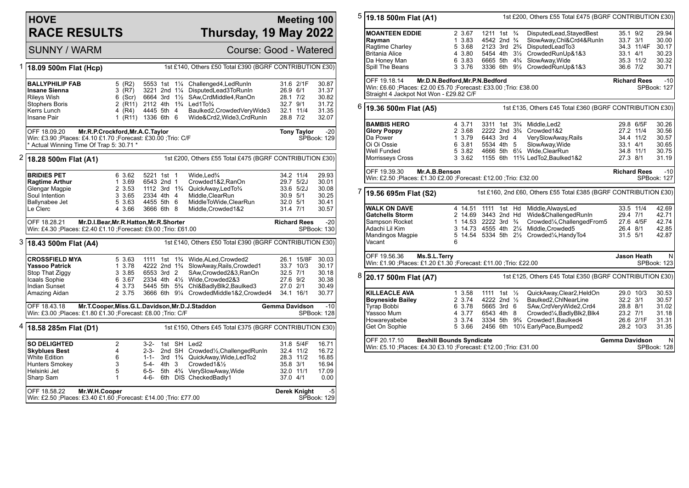## **HOVE RACE RESULTS**

## **Meeting 100 Thursday, 19 May 2022**

SUNNY / WARM Course: Good - Watered 1 **18.09 500m Flat (Hcp)** 1st £140, Others £50 Total £390 (BGRF CONTRIBUTION £30) **BALLYPHILIP FAB** 5 (R2) 5553 1st 1<sup>1</sup>/<sub>4</sub> Challenged4, LedRunIn 31.6 2/1F 30.87<br> **Insane Sienna** 3 (R7) 3221 2nd 1<sup>1</sup>/<sub>4</sub> DisputedLead3ToRunIn 26.9 6/1 31.37 **Insane Sienna** 3 (R7) 3221 2nd 1¼ DisputedLead3ToRunIn 26.9 6/1 31.37 Rileys Wish **6 (Scr)** 6664 3rd 1<sup>1</sup>/<sub>2</sub> SAw,CrdMiddle4,RanOn 28.1 7/2 30.82<br>Stophers Boris 2 (R11) 2112 4th 1<sup>3</sup>/<sub>4</sub> Led1To<sup>3</sup>/<sub>4</sub> 200 32.7 9/1 31.72  $2112$  4th  $1\frac{3}{4}$  Led1To $\frac{3}{4}$ Kerrs Lunch 4 (R4) 4445 5th 4 Baulked2,CrowdedVeryWide3 32.1 11/4 31.35  $I(\overline{R11})$  1336 6th 6 Wide&Crd2, Wide3, CrdRunIn OFF 18.09.20 **Mr.R.P.Crockford,Mr.A.C.Taylor** Win: £3.90 ;Places: £4.10 £1.70 ;Forecast: £30.00 ;Trio: C/F \* Actual Winning Time Of Trap 5: 30.71 \* **Tony Taylor** -20 SPBook: 129 2 **18.28 500m Flat (A1)** 1st £200, Others £55 Total £475 (BGRF CONTRIBUTION £30) **BRIDIES PET** 6 3.62 5221 1st 1 Wide,Led¾ 34.2 11/4 29.93<br> **Ragtime Arthur** 1 3.69 6543 2nd 1 Crowded1&2.RanOn 29.7 5/2J 30.01 **Ragtime Arthur 1 3.69 6543 2nd 1 Crowded1&2,RanOn 29.7 5/2J 3.69 6543 2nd 1 Crowded1&2,RanOn 29.7 5/2J** Glengar Magpie 2 3.53 1112 3rd 1¾ QuickAway,LedTo¾ 33.6 5/2J 30.08 Soul Intention 3 3.65 2334 4th 4 Middle,ClearRun 30.9 5/1 30.25 Ballynabee Jet 5 3.63 4455 5th 6 MiddleToWide,ClearRun 32.0 5/1 30.41 Middle,Crowded1&2 OFF 18.28.21 **Mr.D.I.Bear,Mr.R.Hatton,Mr.R.Shorter** Win: £4.30 ;Places: £2.40 £1.10 ;Forecast: £9.00 ;Trio: £61.00 **Richard Rees** -20 SPBook: 130 3 **18.43 500m Flat (A4)** 1st £140, Others £50 Total £390 (BGRF CONTRIBUTION £30) **CROSSFIELD MYA** 5 3.63 1111 1st 1<sup>3</sup>/<sub>4</sub> Wide,ALed,Crowded2 26.1 15/8F 30.03<br>
Yassoo Patrick 1 3.78 4222 2nd 1<sup>3</sup>/<sub>4</sub> SlowAway,Rails,Crowded1 33.7 10/3 30.17 **4222 2nd 1¾ SlowAway,Rails,Crowded1 33.7 10/3 35.7 10/3 30.5 310 30.17 10/3 42.5 311 42.5 311 42.5 4** Stop That Ziggy 3 3.85 6553 3rd 2 SAw,Crowded2&3,RanOn 32.5 7/1 30.18 Icaals Sophie 6 3.67 2334 4th 4½ Wide,Crowded2&3 27.6 9/2 30.38 Indian Sunset 4 3.73 5445 5th 5¾ Chl&BadlyBlk2,Baulked3 27.0 2/1 30.49 Amazing Aidan 2 3.75 3666 6th 9¼ CrowdedMiddle1&2,Crowded4 34.1 16/1 30.77 OFF 18.43.18 **Mr.T.Cooper,Miss.G.L.Davidson,Mr.D.J.Staddon** Win: £3.00 ;Places: £1.80 £1.30 ;Forecast: £8.00 ;Trio: C/F **Gemma Davidson** -10 SPBook: 128 4 **18.58 285m Flat (D1)** 1st £150, Others £45 Total £375 (BGRF CONTRIBUTION £30) **SO DELIGHTED** 2 3-2- 1st SH Led2 31.8 5/4F 16.71<br> **Skyblues Best** 31.8 5/4F 4 2-3- 2nd SH Crowded<sup>1</sup>/<sub>2</sub>.ChallengedRunIn 32.4 11/2 16.72 **Skyblues Best** 4 2-3- 2nd SH Crowded½,ChallengedRunIn 32.4 11/2 16.72 1 11 1 1 - 3rd 1¾ QuickAway, Wide, LedTo2 28.3 11/2 16.85<br>3 5-4- 4th 3 Crowded 1& 1½ 35.8 3/1 16.94 Hunters Smokey 3 5-4- 4th 3 Crowded1&1/<sub>2</sub> 35.8 3/1<br>Helsinki Jet 32.0 11/1 5 6-5- 5th 4<sup>3</sup>/4 VervSlowAwav.Wide 32.0 11/1 Helsinki Jet 5 6-5- 5th 4¾ VerySlowAway,Wide 32.0 11/1 17.09 6th DIS CheckedBadly1 OFF 18.58.22 **Mr.W.H.Cooper** Win: £2.50 ;Places: £3.40 £1.60 ;Forecast: £14.00 ;Trio: £77.00 **Derek Knight** -5 SPBook: 129 5 **19.18 500m Flat (A1)** 1st £200, Others £55 Total £475 (BGRF CONTRIBUTION £30) **MOANTEEN EDDIE** 2 3.67 1211 1st <sup>3</sup>/<sub>4</sub> DisputedLead,StayedBest 35.1 9/2 29.94<br>**Rayman** 1 3.83 4542 2nd <sup>3</sup>/<sub>4</sub> SlowAway,Chl&Crd4&RunIn 33.7 3/1 30.00 **Rayman 1 3.83 4542 2nd ¾ SlowAway,Chl&Crd4&RunIn 33.7 3/1 30.00<br>Ragtime Charley 1 5 3.68 2123 3rd 2¾ DisputedLeadTo3 34.3 11/4F 30.17** Ragtime Charley 5 3.68 2123 3rd 2<sup>3</sup>/<sub>4</sub> DisputedLeadTo3 34.3 11/4<br>Britania Alice 4 3.80 5454 4th 3<sup>1</sup>/<sub>2</sub> CrowdedRunUp&1&3 33.1 4/1 Britania Alice 4 3.80 5454 4th 3½ CrowdedRunUp&1&3 33.1 4/1 30.23 Da Honey Man 6 3.83 6665 5th 4¾ SlowAway,Wide 35.3 11/2 30.32 Spill The Beans 3 3.76 3336 6th 9½ CrowdedRunUp&1&3 36.6 7/2 30.71 OFF 19.18.14 **Mr.D.N.Bedford,Mr.P.N.Bedford** Win: £6.60 ;Places: £2.00 £5.70 ;Forecast: £33.00 ;Trio: £38.00 Straight 4 Jackpot Not Won - £29.82 C/F **Richard Rees** -10 SPBook: 127 6 **19.36 500m Flat (A5)** 1st £135, Others £45 Total £360 (BGRF CONTRIBUTION £30) **BAMBIS HERO** 4 3.71 3311 1st 3<sup>3</sup>/<sub>4</sub> Middle,Led2 29.8 6/5F 30.26<br> **Glory Poppy** 2 3.68 2222 2nd 3<sup>3</sup>/<sub>4</sub> Crowded1&2 27.2 11/4 30.56 **Glory Poppy** 2 3.68 2222 2nd 3¾ Crowded1&2 27.2 11/4 30.56 Da Power 1 3.79 6443 3rd 4 VerySlowAway,Rails 34.4 11/2 30.57 Oi Oi Ossie 6 3.81 5534 4th 5 SlowAway,Wide 33.1 4/1 30.65 Well Funded 5 3.82 4666 5th 6¼ Wide,ClearRun 34.8 11/1 30.75 Morrisseys Cross 3 3.62 1155 6th 11¾ LedTo2,Baulked1&2 27.3 8/1 31.19 OFF 19.39.30 **Mr.A.B.Benson** Win: £2.50 ;Places: £1.30 £2.00 ;Forecast: £12.00 ;Trio: £32.00 **Richard Rees** -10 SPBook: 127 7 **19.56 695m Flat (S2)** 1st £160, 2nd £60, Others £55 Total £385 (BGRF CONTRIBUTION £30) **WALK ON DAVE** 4 14.51 1111 1st Hd Middle,AlwaysLed 33.5 11/4 42.69<br>**Gatchells Storm** 2 14.69 3443 2nd Hd Wide&ChallengedRunin 29.4 7/1 42.71 **Gatchells Storm** 2 14.69 3443 2nd Hd Wide&ChallengedRunIn 29.4 7/1 42.71<br>Sampson Rocket 1 14.53 2222 3rd <sup>3</sup>/4 Crowded<sup>1</sup>/4,ChallengedFrom5 27.6 4/5F 42.74 Sampson Rocket 1 14.53 2222 3rd ¾ Crowded¼,ChallengedFrom5 27.6 4/5F 42.74 Adachi Lil Kim 3 14.73 4555 4th 21/4 Middle,Crowded5<br>Mandingos Magpie 3 14.54 5334 5th 21/2 Crowded1/4.Handy 5 14.54 5334 5th 21/<sub>2</sub> Crowded<sup>1</sup>/<sub>4</sub>,HandyTo4 31.5 5/1 42.87 Vacant 6 OFF 19.56.36 **Ms.S.L.Terry** Win: £1.90 ;Places: £1.20 £1.30 ;Forecast: £11.00 ;Trio: £22.00 **Jason Heath** N SPBook: 123 8 **20.17 500m Flat (A7)** 1st £125, Others £45 Total £350 (BGRF CONTRIBUTION £30) **KILLEACLE AVA** 1 3.58 1111 1st ½ QuickAway,Clear2,HeldOn 29.0 10/3 30.53<br>**Boyneside Bailey** 2 3.74 4222 2nd ½ Baulked2,ChlNearLine 32.2 3/1 30.57 **Boyneside Bailey** 2 3.74 4222 2nd ½ Baulked2, ChlNearLine 32.2 3/1 30.57<br>Tyrap Bobbi 6 3.78 5665 3rd 6 SAw, CrdVeryWide2, Crd4 28.8 8/1 31.02 Tyrap Bobbi 6 3.78 5665 3rd 6 SAw,CrdVeryWide2,Crd4 28.8 8/1 31.02 Yassoo Mum 4 3.77 6543 4th 8 Crowded¼,BadlyBlk2,Blk4 23.2 7/1 31.18 3 3.74 3334 5th 9<sup>3</sup>/<sub>4</sub> Crowded1, Baulked4 Get On Sophie 5 3.66 2456 6th 10¼ EarlyPace,Bumped2 28.2 10/3 31.35 OFF 20.17.10 **Bexhill Bounds Syndicate** Win: £5.10 ;Places: £4.30 £3.10 ;Forecast: £12.00 ;Trio: £31.00 **Gemma Davidson** N SPBook: 128